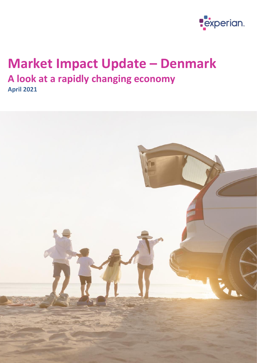

# **Market Impact Update – Denmark A look at a rapidly changing economy April 2021**

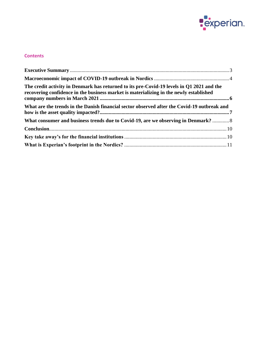

# **Contents**

| The credit activity in Denmark has returned to its pre-Covid-19 levels in Q1 2021 and the<br>recovering confidence in the business market is materializing in the newly established |  |
|-------------------------------------------------------------------------------------------------------------------------------------------------------------------------------------|--|
| What are the trends in the Danish financial sector observed after the Covid-19 outbreak and                                                                                         |  |
| What consumer and business trends due to Covid-19, are we observing in Denmark?  8                                                                                                  |  |
|                                                                                                                                                                                     |  |
|                                                                                                                                                                                     |  |
|                                                                                                                                                                                     |  |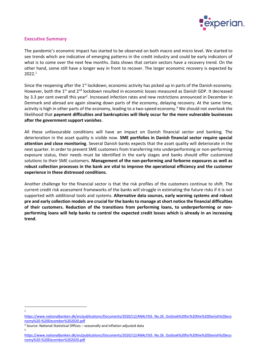

# <span id="page-2-0"></span>**Executive Summary**

The pandemic's economic impact has started to be observed on both macro and micro level. We started to see trends which are indicative of emerging patterns in the credit industry and could be early indicators of what is to come over the next few months. Data shows that certain sectors have a recovery trend. On the other hand, some still have a longer way in front to recover. The larger economic recovery is expected by 2022.<sup>1</sup>

Since the reopening after the  $1<sup>st</sup>$  lockdown, economic activity has picked up in parts of the Danish economy. However, both the 1<sup>st</sup> and 2<sup>nd</sup> lockdown resulted in economic losses measured as Danish GDP. It decreased by 3.3 per cent overall this year<sup>2</sup>. Increased infection rates and new restrictions announced in December in Denmark and abroad are again slowing down parts of the economy, delaying recovery. At the same time, activity is high in other parts of the economy, leading to a two-speed economy.<sup>3</sup> We should not overlook the likelihood that **payment difficulties and bankruptcies will likely occur for the more vulnerable businesses after the government support vanishes**.

All these unfavourable conditions will have an impact on Danish financial sector and banking. The deterioration in the asset quality is visible now. **SME portfolios in Danish financial sector require special attention and close monitoring**. Several Danish banks expects that the asset quality will deteriorate in the next quarter. In order to prevent SME customers from transferring into underperforming or non-performing exposure status, their needs must be identified in the early stages and banks should offer customized solutions to their SME customers. **Management of the non-performing and forborne exposures as well as robust collection processes in the bank are vital to improve the operational efficiency and the customer experience in these distressed conditions.**

Another challenge for the financial sector is that the risk profiles of the customers continue to shift. The current credit risk assessment frameworks of the banks will struggle in estimating the future risks if it is not supported with additional tools and systems. **Alternative data sources, early warning systems and robust pre and early collection models are crucial for the banks to manage at short notice the financial difficulties of their customers. Reduction of the transitions from performing loans, to underperforming or nonperforming loans will help banks to control the expected credit losses which is already in an increasing trend**.

1

[https://www.nationalbanken.dk/en/publications/Documents/2020/12/ANALYSIS\\_No.26\\_Outlook%20for%20the%20Danish%20eco](https://www.nationalbanken.dk/en/publications/Documents/2020/12/ANALYSIS_No.26_Outlook%20for%20the%20Danish%20economy%20-%20December%202020.pdf) [nomy%20-%20December%202020.pdf](https://www.nationalbanken.dk/en/publications/Documents/2020/12/ANALYSIS_No.26_Outlook%20for%20the%20Danish%20economy%20-%20December%202020.pdf)

<sup>2</sup> Source: National Statistical Offices – seasonally and inflation adjusted data 3

[https://www.nationalbanken.dk/en/publications/Documents/2020/12/ANALYSIS\\_No.26\\_Outlook%20for%20the%20Danish%20eco](https://www.nationalbanken.dk/en/publications/Documents/2020/12/ANALYSIS_No.26_Outlook%20for%20the%20Danish%20economy%20-%20December%202020.pdf) [nomy%20-%20December%202020.pdf](https://www.nationalbanken.dk/en/publications/Documents/2020/12/ANALYSIS_No.26_Outlook%20for%20the%20Danish%20economy%20-%20December%202020.pdf)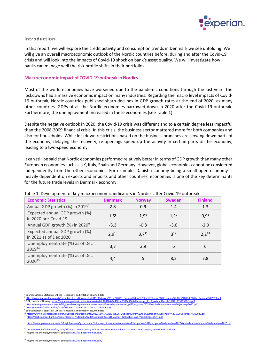

# **Introduction**

In this report, we will explore the credit activity and consumption trends in Denmark we see unfolding. We will give an overall macroeconomic outlook of the Nordic countries before, during and after the Covid-19 crisis and will look into the impacts of Covid-19 shock on bank's asset quality. We will investigate how banks can manage well the risk profile shifts in their portfolios.

#### <span id="page-3-0"></span>**Macroeconomic impact of COVID-19 outbreak in Nordics**

Most of the world economies have worsened due to the pandemic conditions through the last year. The lockdowns had a massive economic impact on many industries. Regarding the macro level impacts of Covid-19 outbreak, Nordic countries published sharp declines in GDP growth rates at the end of 2020, as many other countries. GDPs of all the Nordic economies narrowed down in 2020 after the Covid-19 outbreak. Furthermore, the unemployment increased in these economies (see Table 1).

Despite the negative outlook in 2020, the Covid-19 crisis was different and to a certain degree less impactful than the 2008-2009 financial crisis. In this crisis, the business sector mattered more for both companies and also for households. While lockdown restrictions based on the business branches are slowing down parts of the economy, delaying the recovery, re-openings speed up the activity in certain parts of the economy, leading to a two-speed economy.

It can still be said that Nordic economies performed relatively better in terms of GDP growth than many other European economies such as UK, Italy, Spain and Germany. However, global economies cannot be considered independently from the other economies. For example, Danish economy being a small open economy is heavily dependent on exports and imports and other countries' economies is one of the key determinants for the future trade levels in Denmark economy.

| <b>Economic Statistics</b>                               | <b>Denmark</b> | <b>Norway</b> | <b>Sweden</b> | <b>Finland</b> |
|----------------------------------------------------------|----------------|---------------|---------------|----------------|
| Annual GDP growth (%) in 2019 <sup>4</sup>               | 2.8            | 0.9           | 1.4           | 1.3            |
| Expected annual GDP growth (%)<br>in 2020 pre-Covid-19   | $1.5^{5}$      | $1,9^6$       | $1,1^7$       | $0.9^8$        |
| Annual GDP growth (%) in 2020 <sup>9</sup>               | $-3.3$         | $-0.8$        | $-3.0$        | $-2.9$         |
| Expected annual GDP growth (%)<br>in 2021 as of Dec 2020 | $2.9^{10}$     | $3.7^{11}$    | $3^{12}$      | $2.2^{13}$     |
| Unemployment rate (%) as of Dec<br>201914                | 3,7            | 3,9           | 6             | 6              |
| Unemployment rate (%) as of Dec<br>$2020^{15}$           | 4,4            | 5             | 8,2           | 7,8            |

#### Table 1. Development of key macroeconomic indicators in Nordics after Covid-19 outbreak

<sup>4</sup> Source: National Statistical Offices – seasonally and inflation adjusted data

<sup>5</sup> [https://www.nationalbanken.dk/en/publications/Documents/2019/09/ANALYSIS\\_no%2020\\_Outlook%20for%20the%20Danish%20Economy%20%E2%80%93%20september%202019.pdf](https://www.nationalbanken.dk/en/publications/Documents/2019/09/ANALYSIS_no%2020_Outlook%20for%20the%20Danish%20Economy%20%E2%80%93%20september%202019.pdf) <sup>6</sup> GDP, mainland Norway[. https://static.norges-bank.no/contentassets/04c2bd9b4a9e498cac9588e8963a7bbc/mpr\\_4\\_19\\_web.pdf?v=12/19/2019151950&ft=.pdf](https://static.norges-bank.no/contentassets/04c2bd9b4a9e498cac9588e8963a7bbc/mpr_4_19_web.pdf?v=12/19/2019151950&ft=.pdf)

<sup>7</sup> <https://www.government.se/48e7fb/globalassets/government/dokument/finansdepartementet/pdf/prognoser/2020/key-indicators-forecast-16-january-2020.pdf>

<sup>8</sup> <https://www.bofbulletin.fi/en/2019/5/forecast-tables-for-2019-2022-december/>

<sup>&</sup>lt;sup>9</sup> Source: National Statistical Offices - seasonally and inflation adjusted data

<sup>10</sup> [https://www.nationalbanken.dk/en/publications/Documents/2020/12/ANALYSIS\\_No.26\\_Outlook%20for%20the%20Danish%20economy%20-%20December%202020.pdf](https://www.nationalbanken.dk/en/publications/Documents/2020/12/ANALYSIS_No.26_Outlook%20for%20the%20Danish%20economy%20-%20December%202020.pdf) 1. https://static.norges-bank.no/contentassets/7f54db78676a4e959efabb0233ea166

 $^{12}$  <https://www.government.se/4af36c/globalassets/government/dokument/finansdepartementet/pdf/prognoser/2020/prognos-16-december-2020/key-indicators-forecast-16-december-2020.pdf>

https://www.bofbulletin.fi/en/2020/6/forecast-the-economy-will-recover-from-the

<sup>14</sup> Registered unemployment rate. Source[: https://tradingeconomics.com/](https://tradingeconomics.com/)

<sup>&</sup>lt;sup>15</sup> Registered unemployment rate. Source[: https://tradingeconomics.com/](https://tradingeconomics.com/)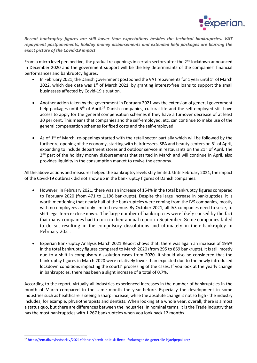

*Recent bankruptcy figures are still lower than expectations besides the technical bankruptcies. VAT repayment postponements, holiday money disbursements and extended help packages are blurring the exact picture of the Covid-19 impact*

From a micro level perspective, the gradual re-openings in certain sectors after the  $2<sup>nd</sup>$  lockdown announced in December 2020 and the government support will be the key determinants of the companies' financial performances and bankruptcy figures.

- In February 2021, the Danish government postponed the VAT repayments for 1 year until 1st of March 2022, which due date was  $1<sup>st</sup>$  of March 2021, by granting interest-free loans to support the small businesses affected by Covid-19 situation.
- Another action taken by the government in February 2021 was the extension of general government help packages until 5<sup>th</sup> of April.<sup>16</sup> Danish companies, cultural life and the self-employed still have access to apply for the general compensation schemes if they have a turnover decrease of at least 30 per cent. This means that companies and the self-employed, etc. can continue to make use of the general compensation schemes for fixed costs and the self-employed
- As of  $1^{st}$  of March, re-openings started with the retail sector partially which will be followed by the further re-opening of the economy, starting with hairdressers, SPA and beauty centers on 6<sup>th</sup> of April, expanding to include department stores and outdoor service in restaurants on the  $21^{st}$  of April. The 2<sup>nd</sup> part of the holiday money disbursements that started in March and will continue in April, also provides liquidity in the consumption market to revive the economy.

All the above actions and measures helped the bankruptcy levels stay limited. Until February 2021, the impact of the Covid-19 outbreak did not show up in the bankruptcy figures of Danish companies.

- However, in February 2021, there was an increase of 154% in the total bankruptcy figures compared to February 2020 (from 471 to 1,196 bankrupts). Despite the large increase in bankruptcies, it is worth mentioning that nearly half of the bankruptcies were coming from the IVS companies, mostly with no employees and only limited revenue. By October 2021, all IVS companies need to seize, to shift legal form or close down. The large number of bankruptcies were likely caused by the fact that many companies had to turn in their annual report in September. Some companies failed to do so, resulting in the compulsory dissolutions and ultimately in their bankruptcy in February 2021.
- Experian Bankruptcy Analysis March 2021 Report shows that, there was again an increase of 195% in the total bankruptcy figures compared to March 2020 (from 295 to 869 bankrupts). It is still mostly due to a shift in compulsory dissolution cases from 2020. It should also be considered that the bankruptcy figures in March 2020 were relatively lower than expected due to the newly introduced lockdown conditions impacting the courts' processing of the cases. If you look at the yearly change in bankruptcies, there has been a slight increase of a total of 0.7%.

According to the report, virtually all industries experienced increases in the number of bankruptcies in the month of March compared to the same month the year before. Especially the development in some industries such as healthcare is seeing a sharp increase, while the absolute change is not so high - the industry includes, for example, physiotherapists and dentists. When looking at a whole year, overall, there is almost a status quo, but there are differences between the industries. In nominal terms, it is the Trade industry that has the most bankruptcies with 1,267 bankruptcies when you look back 12 months.

<sup>16</sup> <https://em.dk/nyhedsarkiv/2021/februar/bredt-politisk-flertal-forlaenger-de-generelle-hjaelpepakker/>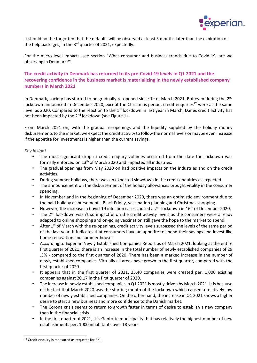

It should not be forgotten that the defaults will be observed at least 3 months later than the expiration of the help packages, in the 3<sup>rd</sup> quarter of 2021, expectedly.

For the micro level impacts, see section "What consumer and business trends due to Covid-19, are we observing in Denmark?".

# <span id="page-5-0"></span>**The credit activity in Denmark has returned to its pre-Covid-19 levels in Q1 2021 and the recovering confidence in the business market is materializing in the newly established company numbers in March 2021**

In Denmark, society has started to be gradually re-opened since 1<sup>st</sup> of March 2021. But even during the 2<sup>nd</sup> lockdown announced in December 2020, except the Christmas period, credit enquiries<sup>17</sup> were at the same level as 2020. Compared to the reaction to the  $1<sup>st</sup>$  lockdown in last year in March, Danes credit activity has not been impacted by the 2<sup>nd</sup> lockdown (see Figure 1).

From March 2021 on, with the gradual re-openings and the liquidity supplied by the holiday money disbursements to the market, we expect the credit activity to follow the normal levels or maybe even increase if the appetite for investments is higher than the current savings.

### *Key Insight*

- The most significant drop in credit enquiry volumes occurred from the date the lockdown was formally enforced on 13th of March 2020 and impacted all industries.
- The gradual openings from May 2020 on had positive impacts on the industries and on the credit activities.
- During summer holidays, there was an expected slowdown in the credit enquiries as expected.
- The announcement on the disbursement of the holiday allowances brought vitality in the consumer spending.
- In November and in the beginning of December 2020, there was an optimistic environment due to the paid holiday disbursements, Black Friday, vaccination planning and Christmas shopping.
- However, the increase in Covid-19 infection cases caused a  $2<sup>nd</sup>$  lockdown in  $16<sup>th</sup>$  of December 2020.
- The  $2<sup>nd</sup>$  lockdown wasn't so impactful on the credit activity levels as the consumers were already adapted to online shopping and on-going vaccination still gave the hope to the market to spend.
- After  $1<sup>st</sup>$  of March with the re-openings, credit activity levels surpassed the levels of the same period of the last year. It indicates that consumers have an appetite to spend their savings and invest like home renovation and summer houses.
- According to Experian Newly Established Companies Report as of March 2021, looking at the entire first quarter of 2021, there is an increase in the total number of newly established companies of 29 .3% - compared to the first quarter of 2020. There has been a marked increase in the number of newly established companies. Virtually all areas have grown in the first quarter, compared with the first quarter of 2020.
- It appears that in the first quarter of 2021, 25.40 companies were created per. 1,000 existing companies against 20.17 in the first quarter of 2020.
- The increase in newly established companies in Q1 2021 is mostly driven by March 2021. It is because of the fact that March 2020 was the starting month of the lockdown which caused a relatively low number of newly established companies. On the other hand, the increase in Q1 2021 shows a higher desire to start a new business and more confidence to the Danish market.
- The Corona crisis seems to return to growth faster in terms of desire to establish a new company than in the financial crisis.
- In the first quarter of 2021, it is Gentofte municipality that has relatively the highest number of new establishments per. 1000 inhabitants over 18 years.

<sup>&</sup>lt;sup>17</sup> Credit enquiry is measured as requests for RKI.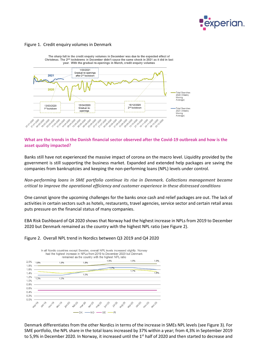

#### Figure 1. Credit enquiry volumes in Denmark



### <span id="page-6-0"></span>**What are the trends in the Danish financial sector observed after the Covid-19 outbreak and how is the asset quality impacted?**

Banks still have not experienced the massive impact of corona on the macro level. Liquidity provided by the government is still supporting the business market. Expanded and extended help packages are saving the companies from bankruptcies and keeping the non-performing loans (NPL) levels under control.

### *Non-performing loans in SME portfolio continue its rise in Denmark. Collections management became critical to improve the operational efficiency and customer experience in these distressed conditions*

One cannot ignore the upcoming challenges for the banks once cash and relief packages are out. The lack of activities in certain sectors such as hotels, restaurants, travel agencies, service sector and certain retail areas puts pressure on the financial status of many companies.

EBA Risk Dashboard of Q4 2020 shows that Norway had the highest increase in NPLs from 2019 to December 2020 but Denmark remained as the country with the highest NPL ratio (see Figure 2).





Denmark differentiates from the other Nordics in terms of the increase in SMEs NPL levels (see Figure 3). For SME portfolio, the NPL share in the total loans increased by 37% within a year; from 4,3% in September 2019 to 5,9% in December 2020. In Norway, it increased until the 1<sup>st</sup> half of 2020 and then started to decrease and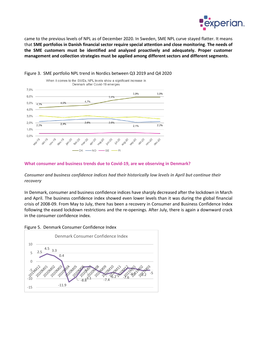

came to the previous levels of NPL as of December 2020. In Sweden, SME NPL curve stayed flatter. It means that **SME portfolios in Danish financial sector require special attention and close monitoring**. **The needs of the SME customers must be identified and analyzed proactively and adequately. Proper customer management and collection strategies must be applied among different sectors and different segments**.



#### Figure 3. SME portfolio NPL trend in Nordics between Q3 2019 and Q4 2020

#### <span id="page-7-0"></span>**What consumer and business trends due to Covid-19, are we observing in Denmark?**

*Consumer and business confidence indices had their historically low levels in April but continue their recovery*

In Denmark, consumer and business confidence indices have sharply decreased after the lockdown in March and April. The business confidence index showed even lower levels than it was during the global financial crisis of 2008-09. From May to July, there has been a recovery in Consumer and Business Confidence Index following the eased lockdown restrictions and the re-openings. After July, there is again a downward crack in the consumer confidence index.



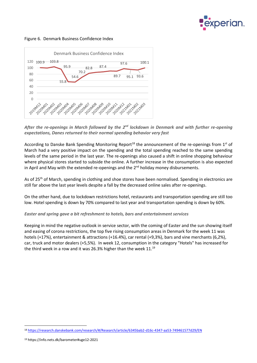

Figure 6. Denmark Business Confidence Index



*After the re-openings in March followed by the 2nd lockdown in Denmark and with further re-opening expectations, Danes returned to their normal spending behavior very fast*

According to Danske Bank Spending Monitoring Report<sup>18</sup> the announcement of the re-openings from  $1<sup>st</sup>$  of March had a very positive impact on the spending and the total spending reached to the same spending levels of the same period in the last year. The re-openings also caused a shift in online shopping behaviour where physical stores started to subside the online. A further increase in the consumption is also expected in April and May with the extended re-openings and the 2<sup>nd</sup> holiday money disbursements.

As of 25<sup>th</sup> of March, spending in clothing and shoe stores have been normalised. Spending in electronics are still far above the last year levels despite a fall by the decreased online sales after re-openings.

On the other hand, due to lockdown restrictions hotel, restaurants and transportation spending are still too low. Hotel spending is down by 70% compared to last year and transportation spending is down by 60%.

### *Easter and spring gave a bit refreshment to hotels, bars and entertainment services*

Keeping in mind the negative outlook in service sector, with the coming of Easter and the sun showing itself and easing of corona restrictions, the top five rising consumption areas in Denmark for the week 11 was hotels (+17%), entertainment & attractions (+16.4%), car rental (+9,3%), bars and vine merchants (6,2%), car, truck and motor dealers (+5,5%). In week 12, consumption in the category "Hotels" has increased for the third week in a row and it was 26.3% higher than the week  $11.^{19}$ 

<sup>18</sup> <https://research.danskebank.com/research/#/Research/article/6345bab2-d16c-4347-aa53-749461577d29/EN>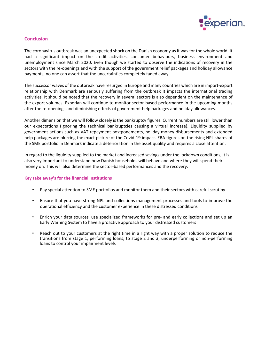

# <span id="page-9-0"></span>**Conclusion**

The coronavirus outbreak was an unexpected shock on the Danish economy as it was for the whole world. It had a significant impact on the credit activities, consumer behaviours, business environment and unemployment since March 2020. Even though we started to observe the indications of recovery in the sectors with the re-openings and with the support of the government relief packages and holiday allowance payments, no one can assert that the uncertainties completely faded away.

The successor waves of the outbreak have resurged in Europe and many countries which are in import-export relationship with Denmark are seriously suffering from the outbreak It impacts the international trading activities. It should be noted that the recovery in several sectors is also dependent on the maintenance of the export volumes. Experian will continue to monitor sector-based performance in the upcoming months after the re-openings and diminishing effects of government help packages and holiday allowances.

Another dimension that we will follow closely is the bankruptcy figures. Current numbers are still lower than our expectations (ignoring the technical bankruptcies causing a virtual increase). Liquidity supplied by government actions such as VAT repayment postponements, holiday money disbursements and extended help packages are blurring the exact picture of the Covid-19 impact. EBA figures on the rising NPL shares of the SME portfolio in Denmark indicate a deterioration in the asset quality and requires a close attention.

In regard to the liquidity supplied to the market and increased savings under the lockdown conditions, it is also very important to understand how Danish households will behave and where they will spend their money on. This will also determine the sector-based performances and the recovery.

### <span id="page-9-1"></span>**Key take away's for the financial institutions**

- Pay special attention to SME portfolios and monitor them and their sectors with careful scrutiny
- Ensure that you have strong NPL and collections management processes and tools to improve the operational efficiency and the customer experience in these distressed conditions
- Enrich your data sources, use specialized frameworks for pre- and early collections and set up an Early Warning System to have a proactive approach to your distressed customers
- Reach out to your customers at the right time in a right way with a proper solution to reduce the transitions from stage 1, performing loans, to stage 2 and 3, underperforming or non-performing loans to control your impairment levels